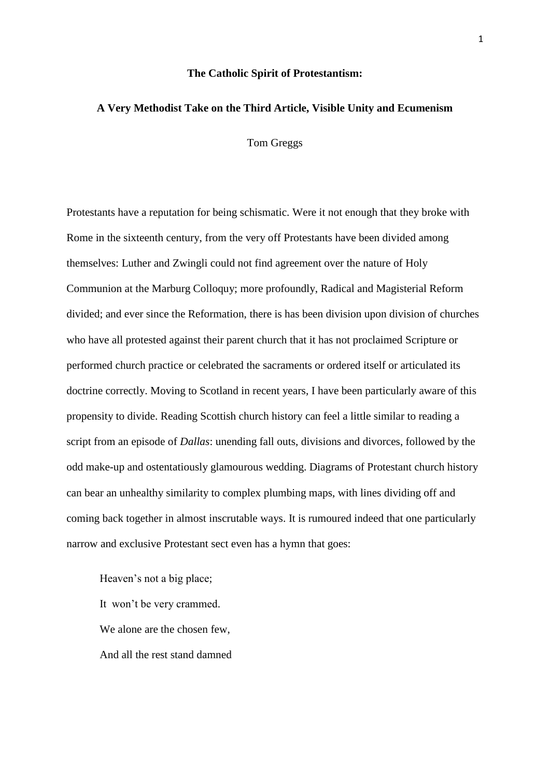## **The Catholic Spirit of Protestantism:**

# **A Very Methodist Take on the Third Article, Visible Unity and Ecumenism**

Tom Greggs

Protestants have a reputation for being schismatic. Were it not enough that they broke with Rome in the sixteenth century, from the very off Protestants have been divided among themselves: Luther and Zwingli could not find agreement over the nature of Holy Communion at the Marburg Colloquy; more profoundly, Radical and Magisterial Reform divided; and ever since the Reformation, there is has been division upon division of churches who have all protested against their parent church that it has not proclaimed Scripture or performed church practice or celebrated the sacraments or ordered itself or articulated its doctrine correctly. Moving to Scotland in recent years, I have been particularly aware of this propensity to divide. Reading Scottish church history can feel a little similar to reading a script from an episode of *Dallas*: unending fall outs, divisions and divorces, followed by the odd make-up and ostentatiously glamourous wedding. Diagrams of Protestant church history can bear an unhealthy similarity to complex plumbing maps, with lines dividing off and coming back together in almost inscrutable ways. It is rumoured indeed that one particularly narrow and exclusive Protestant sect even has a hymn that goes:

Heaven's not a big place; It won't be very crammed. We alone are the chosen few, And all the rest stand damned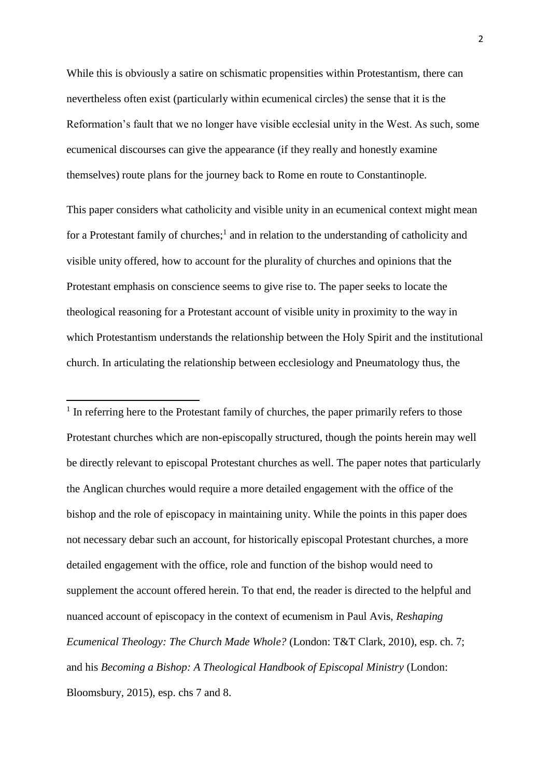While this is obviously a satire on schismatic propensities within Protestantism, there can nevertheless often exist (particularly within ecumenical circles) the sense that it is the Reformation's fault that we no longer have visible ecclesial unity in the West. As such, some ecumenical discourses can give the appearance (if they really and honestly examine themselves) route plans for the journey back to Rome en route to Constantinople.

This paper considers what catholicity and visible unity in an ecumenical context might mean for a Protestant family of churches;<sup>1</sup> and in relation to the understanding of catholicity and visible unity offered, how to account for the plurality of churches and opinions that the Protestant emphasis on conscience seems to give rise to. The paper seeks to locate the theological reasoning for a Protestant account of visible unity in proximity to the way in which Protestantism understands the relationship between the Holy Spirit and the institutional church. In articulating the relationship between ecclesiology and Pneumatology thus, the

**.** 

<sup>1</sup> In referring here to the Protestant family of churches, the paper primarily refers to those Protestant churches which are non-episcopally structured, though the points herein may well be directly relevant to episcopal Protestant churches as well. The paper notes that particularly the Anglican churches would require a more detailed engagement with the office of the bishop and the role of episcopacy in maintaining unity. While the points in this paper does not necessary debar such an account, for historically episcopal Protestant churches, a more detailed engagement with the office, role and function of the bishop would need to supplement the account offered herein. To that end, the reader is directed to the helpful and nuanced account of episcopacy in the context of ecumenism in Paul Avis, *Reshaping Ecumenical Theology: The Church Made Whole?* (London: T&T Clark, 2010), esp. ch. 7; and his *Becoming a Bishop: A Theological Handbook of Episcopal Ministry* (London: Bloomsbury, 2015), esp. chs 7 and 8.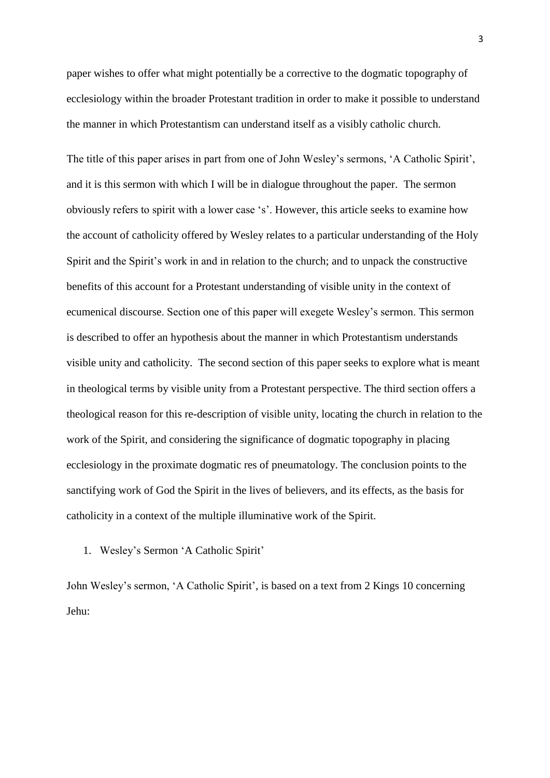paper wishes to offer what might potentially be a corrective to the dogmatic topography of ecclesiology within the broader Protestant tradition in order to make it possible to understand the manner in which Protestantism can understand itself as a visibly catholic church.

The title of this paper arises in part from one of John Wesley's sermons, 'A Catholic Spirit', and it is this sermon with which I will be in dialogue throughout the paper. The sermon obviously refers to spirit with a lower case 's'. However, this article seeks to examine how the account of catholicity offered by Wesley relates to a particular understanding of the Holy Spirit and the Spirit's work in and in relation to the church; and to unpack the constructive benefits of this account for a Protestant understanding of visible unity in the context of ecumenical discourse. Section one of this paper will exegete Wesley's sermon. This sermon is described to offer an hypothesis about the manner in which Protestantism understands visible unity and catholicity. The second section of this paper seeks to explore what is meant in theological terms by visible unity from a Protestant perspective. The third section offers a theological reason for this re-description of visible unity, locating the church in relation to the work of the Spirit, and considering the significance of dogmatic topography in placing ecclesiology in the proximate dogmatic res of pneumatology. The conclusion points to the sanctifying work of God the Spirit in the lives of believers, and its effects, as the basis for catholicity in a context of the multiple illuminative work of the Spirit.

1. Wesley's Sermon 'A Catholic Spirit'

John Wesley's sermon, 'A Catholic Spirit', is based on a text from 2 Kings 10 concerning Jehu: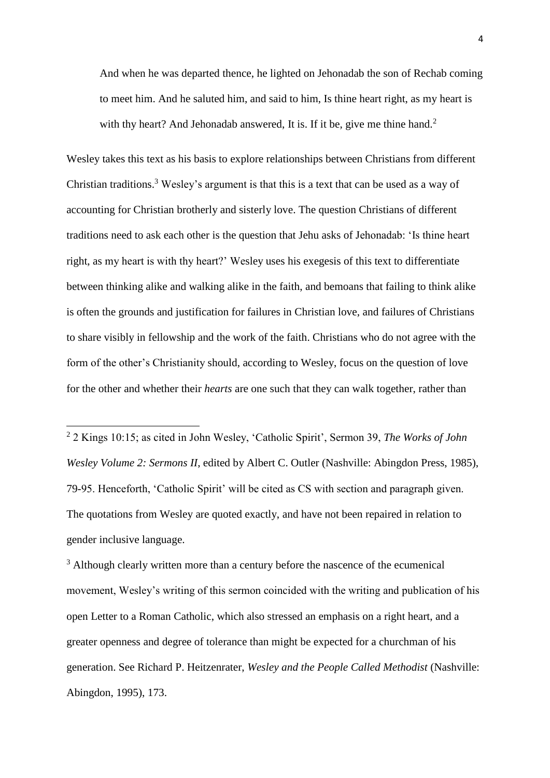And when he was departed thence, he lighted on Jehonadab the son of Rechab coming to meet him. And he saluted him, and said to him, Is thine heart right, as my heart is with thy heart? And Jehonadab answered, It is. If it be, give me thine hand.<sup>2</sup>

Wesley takes this text as his basis to explore relationships between Christians from different Christian traditions.<sup>3</sup> Wesley's argument is that this is a text that can be used as a way of accounting for Christian brotherly and sisterly love. The question Christians of different traditions need to ask each other is the question that Jehu asks of Jehonadab: 'Is thine heart right, as my heart is with thy heart?' Wesley uses his exegesis of this text to differentiate between thinking alike and walking alike in the faith, and bemoans that failing to think alike is often the grounds and justification for failures in Christian love, and failures of Christians to share visibly in fellowship and the work of the faith. Christians who do not agree with the form of the other's Christianity should, according to Wesley, focus on the question of love for the other and whether their *hearts* are one such that they can walk together, rather than

**.** 

<sup>3</sup> Although clearly written more than a century before the nascence of the ecumenical movement, Wesley's writing of this sermon coincided with the writing and publication of his open Letter to a Roman Catholic, which also stressed an emphasis on a right heart, and a greater openness and degree of tolerance than might be expected for a churchman of his generation. See Richard P. Heitzenrater, *Wesley and the People Called Methodist* (Nashville: Abingdon, 1995), 173.

<sup>2</sup> 2 Kings 10:15; as cited in John Wesley, 'Catholic Spirit', Sermon 39, *The Works of John Wesley Volume 2: Sermons II*, edited by Albert C. Outler (Nashville: Abingdon Press, 1985), 79-95. Henceforth, 'Catholic Spirit' will be cited as CS with section and paragraph given. The quotations from Wesley are quoted exactly, and have not been repaired in relation to gender inclusive language.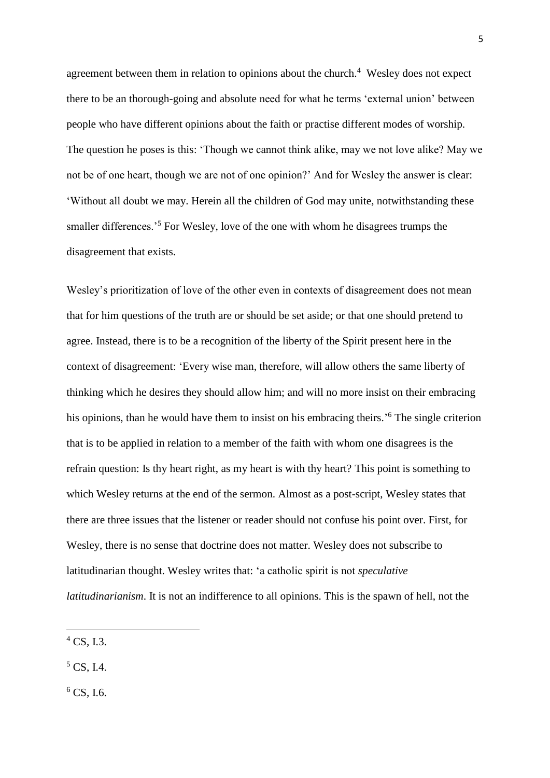agreement between them in relation to opinions about the church.<sup>4</sup> Wesley does not expect there to be an thorough-going and absolute need for what he terms 'external union' between people who have different opinions about the faith or practise different modes of worship. The question he poses is this: 'Though we cannot think alike, may we not love alike? May we not be of one heart, though we are not of one opinion?' And for Wesley the answer is clear: 'Without all doubt we may. Herein all the children of God may unite, notwithstanding these smaller differences.<sup>5</sup> For Wesley, love of the one with whom he disagrees trumps the disagreement that exists.

Wesley's prioritization of love of the other even in contexts of disagreement does not mean that for him questions of the truth are or should be set aside; or that one should pretend to agree. Instead, there is to be a recognition of the liberty of the Spirit present here in the context of disagreement: 'Every wise man, therefore, will allow others the same liberty of thinking which he desires they should allow him; and will no more insist on their embracing his opinions, than he would have them to insist on his embracing theirs.<sup>56</sup> The single criterion that is to be applied in relation to a member of the faith with whom one disagrees is the refrain question: Is thy heart right, as my heart is with thy heart? This point is something to which Wesley returns at the end of the sermon. Almost as a post-script, Wesley states that there are three issues that the listener or reader should not confuse his point over. First, for Wesley, there is no sense that doctrine does not matter. Wesley does not subscribe to latitudinarian thought. Wesley writes that: 'a catholic spirit is not *speculative latitudinarianism*. It is not an indifference to all opinions. This is the spawn of hell, not the

**.** 

 $6$  CS, I.6.

 $^{4}$  CS, I.3.

 $5 \text{CS}$ , I.4.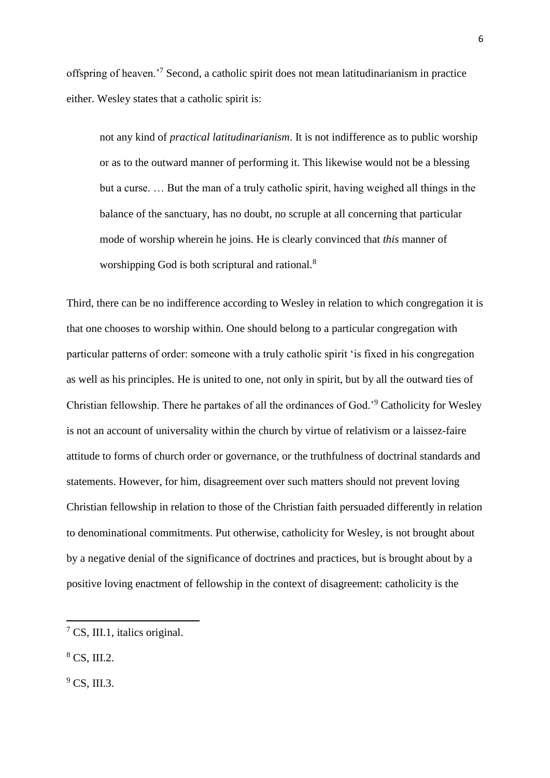offspring of heaven.'<sup>7</sup> Second, a catholic spirit does not mean latitudinarianism in practice either. Wesley states that a catholic spirit is:

not any kind of *practical latitudinarianism*. It is not indifference as to public worship or as to the outward manner of performing it. This likewise would not be a blessing but a curse. … But the man of a truly catholic spirit, having weighed all things in the balance of the sanctuary, has no doubt, no scruple at all concerning that particular mode of worship wherein he joins. He is clearly convinced that *this* manner of worshipping God is both scriptural and rational.<sup>8</sup>

Third, there can be no indifference according to Wesley in relation to which congregation it is that one chooses to worship within. One should belong to a particular congregation with particular patterns of order: someone with a truly catholic spirit 'is fixed in his congregation as well as his principles. He is united to one, not only in spirit, but by all the outward ties of Christian fellowship. There he partakes of all the ordinances of God.'<sup>9</sup> Catholicity for Wesley is not an account of universality within the church by virtue of relativism or a laissez-faire attitude to forms of church order or governance, or the truthfulness of doctrinal standards and statements. However, for him, disagreement over such matters should not prevent loving Christian fellowship in relation to those of the Christian faith persuaded differently in relation to denominational commitments. Put otherwise, catholicity for Wesley, is not brought about by a negative denial of the significance of doctrines and practices, but is brought about by a positive loving enactment of fellowship in the context of disagreement: catholicity is the

1

 $9 \text{CS}$ , III.3.

<sup>7</sup> CS, III.1, italics original.

<sup>8</sup> CS, III.2.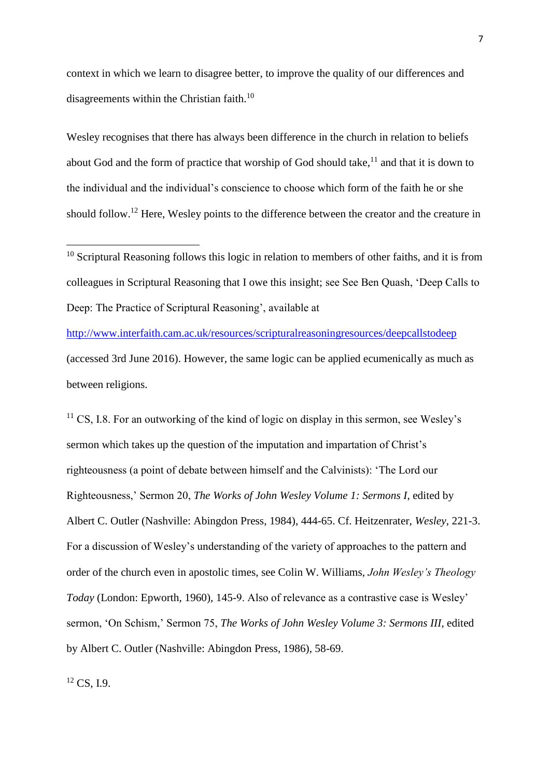context in which we learn to disagree better, to improve the quality of our differences and disagreements within the Christian faith. $^{10}$ 

Wesley recognises that there has always been difference in the church in relation to beliefs about God and the form of practice that worship of God should take, $^{11}$  and that it is down to the individual and the individual's conscience to choose which form of the faith he or she should follow.<sup>12</sup> Here, Wesley points to the difference between the creator and the creature in

<http://www.interfaith.cam.ac.uk/resources/scripturalreasoningresources/deepcallstodeep> (accessed 3rd June 2016). However, the same logic can be applied ecumenically as much as between religions.

 $11 \text{ CS}$ , I.8. For an outworking of the kind of logic on display in this sermon, see Wesley's sermon which takes up the question of the imputation and impartation of Christ's righteousness (a point of debate between himself and the Calvinists): 'The Lord our Righteousness,' Sermon 20, *The Works of John Wesley Volume 1: Sermons I*, edited by Albert C. Outler (Nashville: Abingdon Press, 1984), 444-65. Cf. Heitzenrater, *Wesley*, 221-3. For a discussion of Wesley's understanding of the variety of approaches to the pattern and order of the church even in apostolic times, see Colin W. Williams, *John Wesley's Theology Today* (London: Epworth, 1960), 145-9. Also of relevance as a contrastive case is Wesley' sermon, 'On Schism,' Sermon 75, *The Works of John Wesley Volume 3: Sermons III*, edited by Albert C. Outler (Nashville: Abingdon Press, 1986), 58-69.

 $12 \text{CS}$ , I.9.

**.** 

 $10$  Scriptural Reasoning follows this logic in relation to members of other faiths, and it is from colleagues in Scriptural Reasoning that I owe this insight; see See Ben Quash, 'Deep Calls to Deep: The Practice of Scriptural Reasoning', available at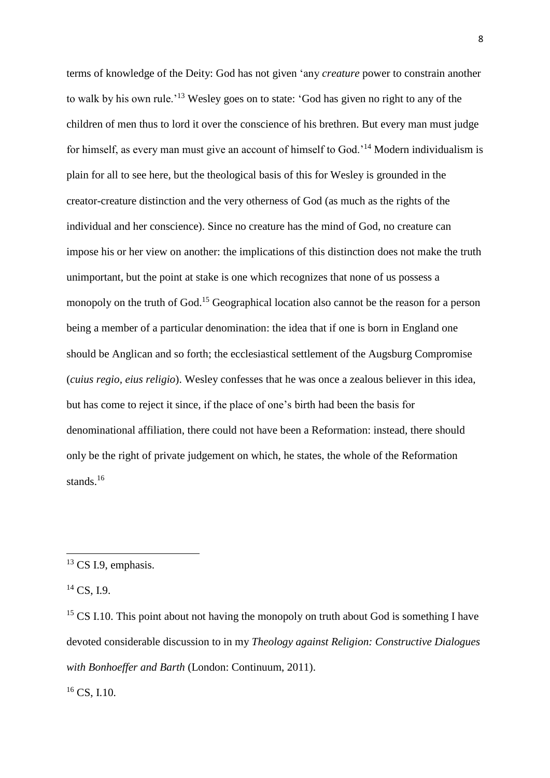terms of knowledge of the Deity: God has not given 'any *creature* power to constrain another to walk by his own rule.'<sup>13</sup> Wesley goes on to state: 'God has given no right to any of the children of men thus to lord it over the conscience of his brethren. But every man must judge for himself, as every man must give an account of himself to God.'<sup>14</sup> Modern individualism is plain for all to see here, but the theological basis of this for Wesley is grounded in the creator-creature distinction and the very otherness of God (as much as the rights of the individual and her conscience). Since no creature has the mind of God, no creature can impose his or her view on another: the implications of this distinction does not make the truth unimportant, but the point at stake is one which recognizes that none of us possess a monopoly on the truth of God.<sup>15</sup> Geographical location also cannot be the reason for a person being a member of a particular denomination: the idea that if one is born in England one should be Anglican and so forth; the ecclesiastical settlement of the Augsburg Compromise (*cuius regio, eius religio*). Wesley confesses that he was once a zealous believer in this idea, but has come to reject it since, if the place of one's birth had been the basis for denominational affiliation, there could not have been a Reformation: instead, there should only be the right of private judgement on which, he states, the whole of the Reformation stands.<sup>16</sup>

**.** 

<sup>16</sup> CS, I.10.

<sup>&</sup>lt;sup>13</sup> CS I.9, emphasis.

 $14$  CS, I.9.

 $15 \text{ CS } I.10$ . This point about not having the monopoly on truth about God is something I have devoted considerable discussion to in my *Theology against Religion: Constructive Dialogues with Bonhoeffer and Barth* (London: Continuum, 2011).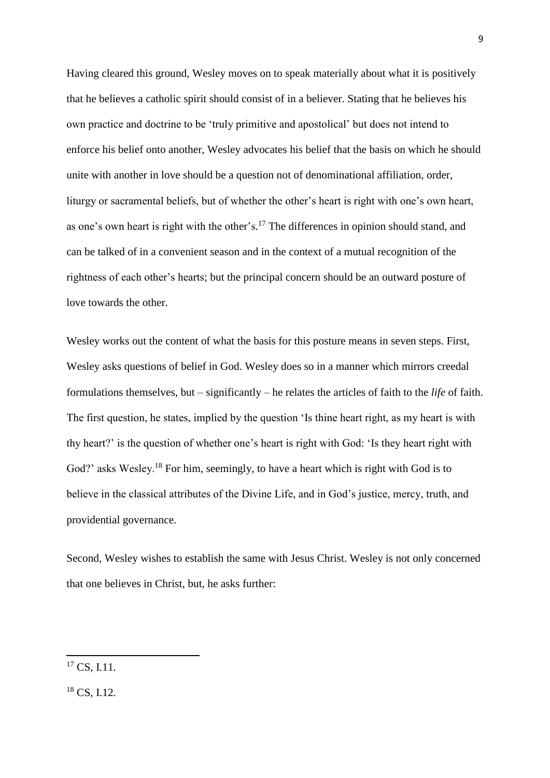Having cleared this ground, Wesley moves on to speak materially about what it is positively that he believes a catholic spirit should consist of in a believer. Stating that he believes his own practice and doctrine to be 'truly primitive and apostolical' but does not intend to enforce his belief onto another, Wesley advocates his belief that the basis on which he should unite with another in love should be a question not of denominational affiliation, order, liturgy or sacramental beliefs, but of whether the other's heart is right with one's own heart, as one's own heart is right with the other's.<sup>17</sup> The differences in opinion should stand, and can be talked of in a convenient season and in the context of a mutual recognition of the rightness of each other's hearts; but the principal concern should be an outward posture of love towards the other.

Wesley works out the content of what the basis for this posture means in seven steps. First, Wesley asks questions of belief in God. Wesley does so in a manner which mirrors creedal formulations themselves, but – significantly – he relates the articles of faith to the *life* of faith. The first question, he states, implied by the question 'Is thine heart right, as my heart is with thy heart?' is the question of whether one's heart is right with God: 'Is they heart right with God?' asks Wesley.<sup>18</sup> For him, seemingly, to have a heart which is right with God is to believe in the classical attributes of the Divine Life, and in God's justice, mercy, truth, and providential governance.

Second, Wesley wishes to establish the same with Jesus Christ. Wesley is not only concerned that one believes in Christ, but, he asks further:

 $17 \text{CS}$ , I.11.

<sup>&</sup>lt;sup>18</sup> CS, I.12.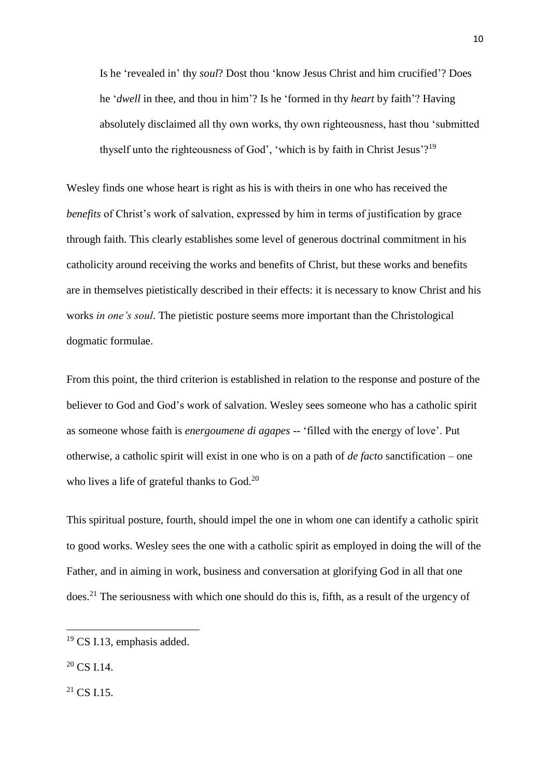Is he 'revealed in' thy *soul*? Dost thou 'know Jesus Christ and him crucified'? Does he '*dwell* in thee, and thou in him'? Is he 'formed in thy *heart* by faith'? Having absolutely disclaimed all thy own works, thy own righteousness, hast thou 'submitted thyself unto the righteousness of God', 'which is by faith in Christ Jesus'?<sup>19</sup>

Wesley finds one whose heart is right as his is with theirs in one who has received the *benefits* of Christ's work of salvation, expressed by him in terms of justification by grace through faith. This clearly establishes some level of generous doctrinal commitment in his catholicity around receiving the works and benefits of Christ, but these works and benefits are in themselves pietistically described in their effects: it is necessary to know Christ and his works *in one's soul*. The pietistic posture seems more important than the Christological dogmatic formulae.

From this point, the third criterion is established in relation to the response and posture of the believer to God and God's work of salvation. Wesley sees someone who has a catholic spirit as someone whose faith is *energoumene di agapes* -- 'filled with the energy of love'. Put otherwise, a catholic spirit will exist in one who is on a path of *de facto* sanctification – one who lives a life of grateful thanks to God.<sup>20</sup>

This spiritual posture, fourth, should impel the one in whom one can identify a catholic spirit to good works. Wesley sees the one with a catholic spirit as employed in doing the will of the Father, and in aiming in work, business and conversation at glorifying God in all that one does.<sup>21</sup> The seriousness with which one should do this is, fifth, as a result of the urgency of

**.** 

 $^{21}$  CS I.15.

<sup>&</sup>lt;sup>19</sup> CS I.13, emphasis added.

 $20 \text{ CS}$  I.14.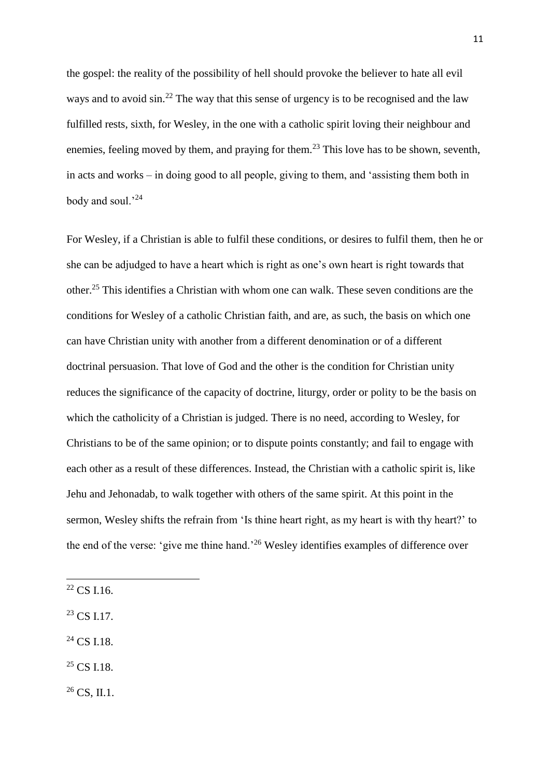the gospel: the reality of the possibility of hell should provoke the believer to hate all evil ways and to avoid  $\sin^{22}$  The way that this sense of urgency is to be recognised and the law fulfilled rests, sixth, for Wesley, in the one with a catholic spirit loving their neighbour and enemies, feeling moved by them, and praying for them.<sup>23</sup> This love has to be shown, seventh, in acts and works – in doing good to all people, giving to them, and 'assisting them both in body and soul.'<sup>24</sup>

For Wesley, if a Christian is able to fulfil these conditions, or desires to fulfil them, then he or she can be adjudged to have a heart which is right as one's own heart is right towards that other.<sup>25</sup> This identifies a Christian with whom one can walk. These seven conditions are the conditions for Wesley of a catholic Christian faith, and are, as such, the basis on which one can have Christian unity with another from a different denomination or of a different doctrinal persuasion. That love of God and the other is the condition for Christian unity reduces the significance of the capacity of doctrine, liturgy, order or polity to be the basis on which the catholicity of a Christian is judged. There is no need, according to Wesley, for Christians to be of the same opinion; or to dispute points constantly; and fail to engage with each other as a result of these differences. Instead, the Christian with a catholic spirit is, like Jehu and Jehonadab, to walk together with others of the same spirit. At this point in the sermon, Wesley shifts the refrain from 'Is thine heart right, as my heart is with thy heart?' to the end of the verse: 'give me thine hand.'<sup>26</sup> Wesley identifies examples of difference over

 $\overline{a}$ 

- $^{23}$  CS I.17.
- $24$  CS I.18.
- $25 \text{ CS}$  I.18.

 $26$  CS, II.1.

<sup>22</sup> CS I.16.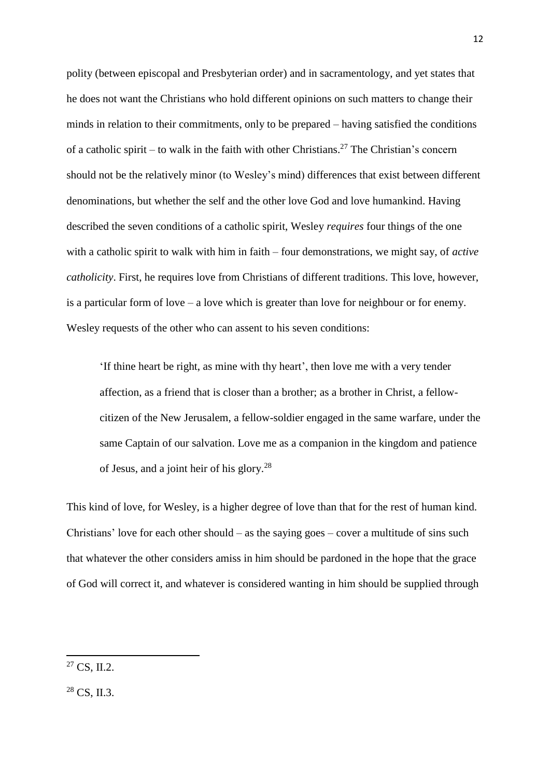polity (between episcopal and Presbyterian order) and in sacramentology, and yet states that he does not want the Christians who hold different opinions on such matters to change their minds in relation to their commitments, only to be prepared – having satisfied the conditions of a catholic spirit – to walk in the faith with other Christians.<sup>27</sup> The Christian's concern should not be the relatively minor (to Wesley's mind) differences that exist between different denominations, but whether the self and the other love God and love humankind. Having described the seven conditions of a catholic spirit, Wesley *requires* four things of the one with a catholic spirit to walk with him in faith – four demonstrations, we might say, of *active catholicity*. First, he requires love from Christians of different traditions. This love, however, is a particular form of love – a love which is greater than love for neighbour or for enemy. Wesley requests of the other who can assent to his seven conditions:

'If thine heart be right, as mine with thy heart', then love me with a very tender affection, as a friend that is closer than a brother; as a brother in Christ, a fellowcitizen of the New Jerusalem, a fellow-soldier engaged in the same warfare, under the same Captain of our salvation. Love me as a companion in the kingdom and patience of Jesus, and a joint heir of his glory.<sup>28</sup>

This kind of love, for Wesley, is a higher degree of love than that for the rest of human kind. Christians' love for each other should – as the saying goes – cover a multitude of sins such that whatever the other considers amiss in him should be pardoned in the hope that the grace of God will correct it, and whatever is considered wanting in him should be supplied through

 $27 \text{CS}$ , II.2.

 $28$  CS, II.3.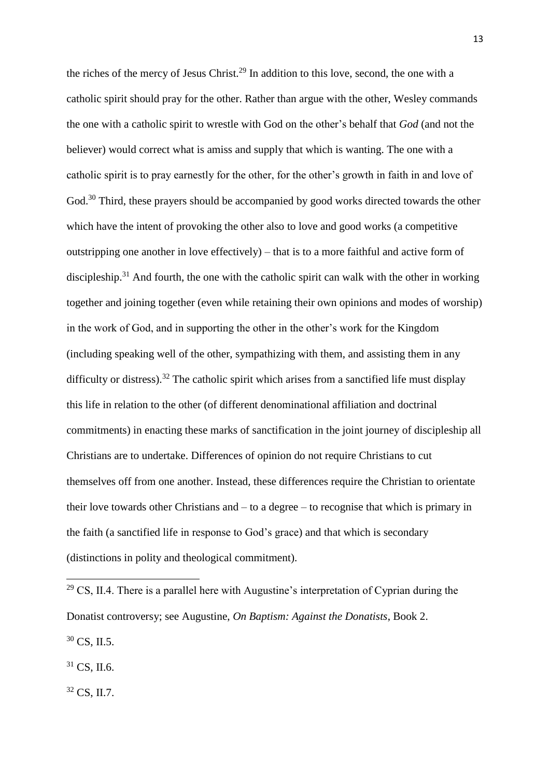the riches of the mercy of Jesus Christ.<sup>29</sup> In addition to this love, second, the one with a catholic spirit should pray for the other. Rather than argue with the other, Wesley commands the one with a catholic spirit to wrestle with God on the other's behalf that *God* (and not the believer) would correct what is amiss and supply that which is wanting. The one with a catholic spirit is to pray earnestly for the other, for the other's growth in faith in and love of God.<sup>30</sup> Third, these prayers should be accompanied by good works directed towards the other which have the intent of provoking the other also to love and good works (a competitive outstripping one another in love effectively) – that is to a more faithful and active form of discipleship.<sup>31</sup> And fourth, the one with the catholic spirit can walk with the other in working together and joining together (even while retaining their own opinions and modes of worship) in the work of God, and in supporting the other in the other's work for the Kingdom (including speaking well of the other, sympathizing with them, and assisting them in any difficulty or distress).<sup>32</sup> The catholic spirit which arises from a sanctified life must display this life in relation to the other (of different denominational affiliation and doctrinal commitments) in enacting these marks of sanctification in the joint journey of discipleship all Christians are to undertake. Differences of opinion do not require Christians to cut themselves off from one another. Instead, these differences require the Christian to orientate their love towards other Christians and – to a degree – to recognise that which is primary in the faith (a sanctified life in response to God's grace) and that which is secondary (distinctions in polity and theological commitment).

 $31 \text{ CS}$ , II.6.

 $\overline{a}$ 

<sup>32</sup> CS, II.7.

 $29 \text{ CS}$ , II.4. There is a parallel here with Augustine's interpretation of Cyprian during the Donatist controversy; see Augustine, *On Baptism: Against the Donatists*, Book 2. <sup>30</sup> CS, II.5.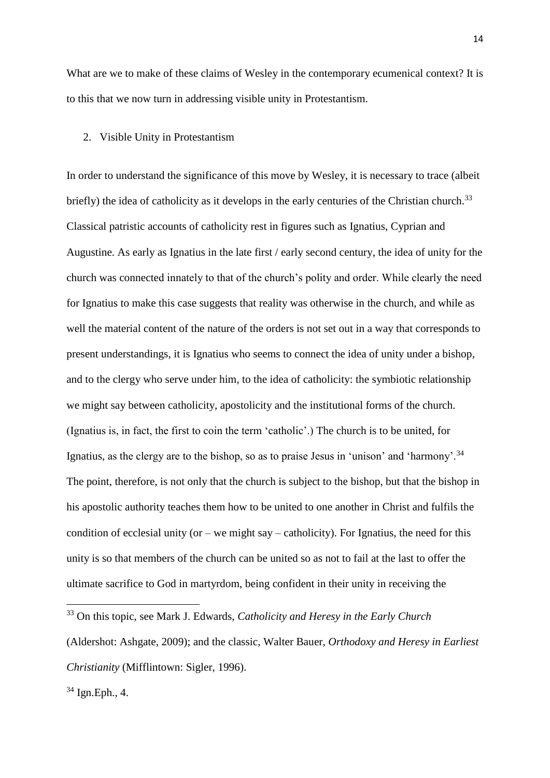What are we to make of these claims of Wesley in the contemporary ecumenical context? It is to this that we now turn in addressing visible unity in Protestantism.

## 2. Visible Unity in Protestantism

In order to understand the significance of this move by Wesley, it is necessary to trace (albeit briefly) the idea of catholicity as it develops in the early centuries of the Christian church.<sup>33</sup> Classical patristic accounts of catholicity rest in figures such as Ignatius, Cyprian and Augustine. As early as Ignatius in the late first / early second century, the idea of unity for the church was connected innately to that of the church's polity and order. While clearly the need for Ignatius to make this case suggests that reality was otherwise in the church, and while as well the material content of the nature of the orders is not set out in a way that corresponds to present understandings, it is Ignatius who seems to connect the idea of unity under a bishop, and to the clergy who serve under him, to the idea of catholicity: the symbiotic relationship we might say between catholicity, apostolicity and the institutional forms of the church. (Ignatius is, in fact, the first to coin the term 'catholic'.) The church is to be united, for Ignatius, as the clergy are to the bishop, so as to praise Jesus in 'unison' and 'harmony'.<sup>34</sup> The point, therefore, is not only that the church is subject to the bishop, but that the bishop in his apostolic authority teaches them how to be united to one another in Christ and fulfils the condition of ecclesial unity (or – we might say – catholicity). For Ignatius, the need for this unity is so that members of the church can be united so as not to fail at the last to offer the ultimate sacrifice to God in martyrdom, being confident in their unity in receiving the

<sup>34</sup> Ign.Eph., 4.

<sup>33</sup> On this topic, see Mark J. Edwards, *Catholicity and Heresy in the Early Church*

<sup>(</sup>Aldershot: Ashgate, 2009); and the classic, Walter Bauer, *Orthodoxy and Heresy in Earliest Christianity* (Mifflintown: Sigler, 1996).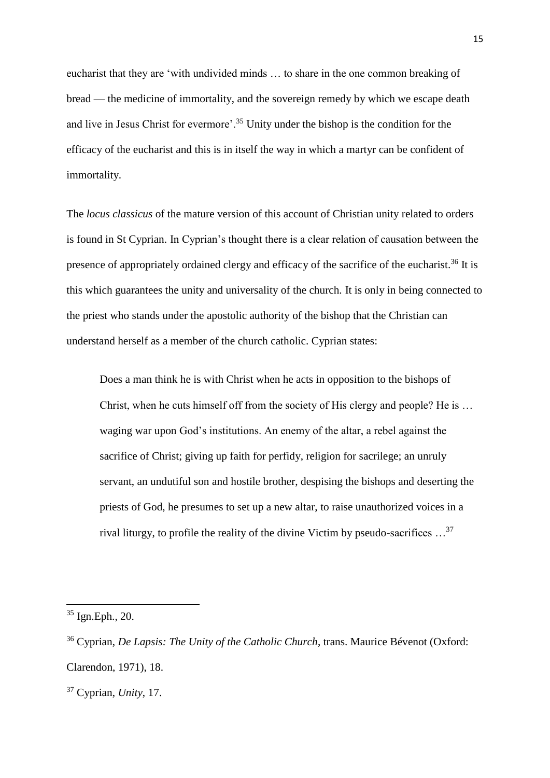eucharist that they are 'with undivided minds … to share in the one common breaking of bread — the medicine of immortality, and the sovereign remedy by which we escape death and live in Jesus Christ for evermore'.<sup>35</sup> Unity under the bishop is the condition for the efficacy of the eucharist and this is in itself the way in which a martyr can be confident of immortality.

The *locus classicus* of the mature version of this account of Christian unity related to orders is found in St Cyprian. In Cyprian's thought there is a clear relation of causation between the presence of appropriately ordained clergy and efficacy of the sacrifice of the eucharist.<sup>36</sup> It is this which guarantees the unity and universality of the church. It is only in being connected to the priest who stands under the apostolic authority of the bishop that the Christian can understand herself as a member of the church catholic. Cyprian states:

Does a man think he is with Christ when he acts in opposition to the bishops of Christ, when he cuts himself off from the society of His clergy and people? He is … waging war upon God's institutions. An enemy of the altar, a rebel against the sacrifice of Christ; giving up faith for perfidy, religion for sacrilege; an unruly servant, an undutiful son and hostile brother, despising the bishops and deserting the priests of God, he presumes to set up a new altar, to raise unauthorized voices in a rival liturgy, to profile the reality of the divine Victim by pseudo-sacrifices …<sup>37</sup>

 $35$  Ign. Eph., 20.

<sup>36</sup> Cyprian, *De Lapsis: The Unity of the Catholic Church*, trans. Maurice Bévenot (Oxford: Clarendon, 1971), 18.

<sup>37</sup> Cyprian, *Unity*, 17.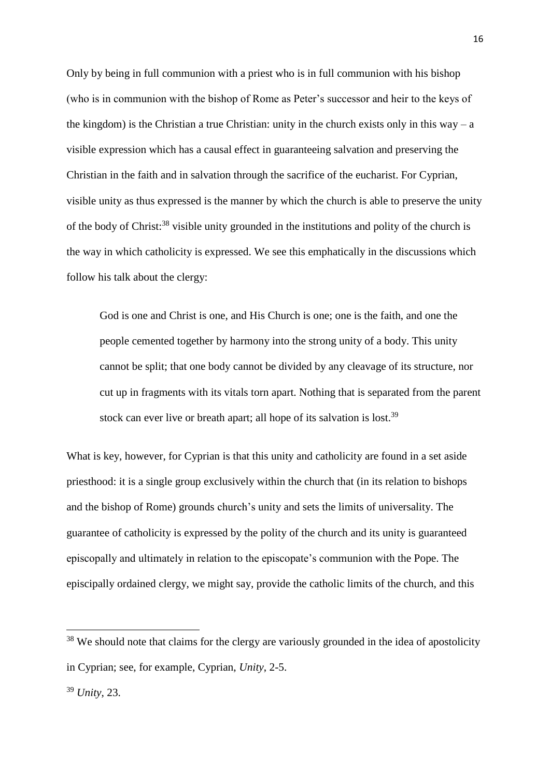Only by being in full communion with a priest who is in full communion with his bishop (who is in communion with the bishop of Rome as Peter's successor and heir to the keys of the kingdom) is the Christian a true Christian: unity in the church exists only in this way – a visible expression which has a causal effect in guaranteeing salvation and preserving the Christian in the faith and in salvation through the sacrifice of the eucharist. For Cyprian, visible unity as thus expressed is the manner by which the church is able to preserve the unity of the body of Christ: <sup>38</sup> visible unity grounded in the institutions and polity of the church is the way in which catholicity is expressed. We see this emphatically in the discussions which follow his talk about the clergy:

God is one and Christ is one, and His Church is one; one is the faith, and one the people cemented together by harmony into the strong unity of a body. This unity cannot be split; that one body cannot be divided by any cleavage of its structure, nor cut up in fragments with its vitals torn apart. Nothing that is separated from the parent stock can ever live or breath apart; all hope of its salvation is lost.<sup>39</sup>

What is key, however, for Cyprian is that this unity and catholicity are found in a set aside priesthood: it is a single group exclusively within the church that (in its relation to bishops and the bishop of Rome) grounds church's unity and sets the limits of universality. The guarantee of catholicity is expressed by the polity of the church and its unity is guaranteed episcopally and ultimately in relation to the episcopate's communion with the Pope. The episcipally ordained clergy, we might say, provide the catholic limits of the church, and this

**.** 

<sup>&</sup>lt;sup>38</sup> We should note that claims for the clergy are variously grounded in the idea of apostolicity in Cyprian; see, for example, Cyprian, *Unity*, 2-5.

<sup>39</sup> *Unity*, 23.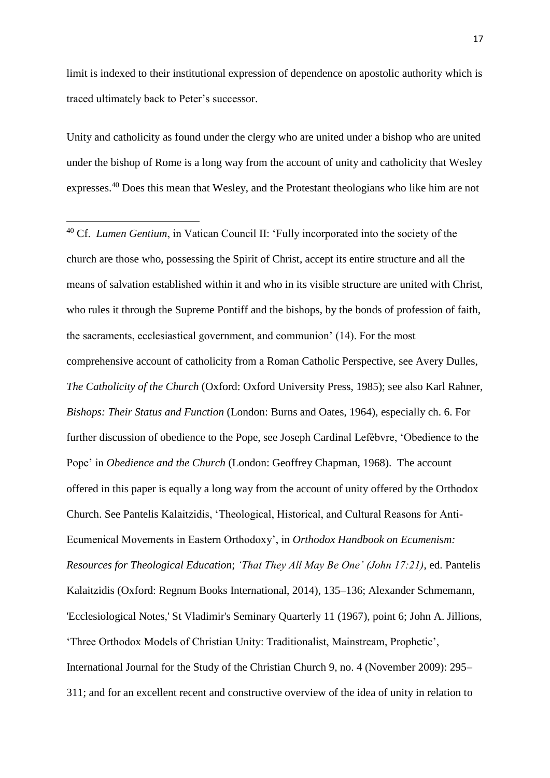limit is indexed to their institutional expression of dependence on apostolic authority which is traced ultimately back to Peter's successor.

Unity and catholicity as found under the clergy who are united under a bishop who are united under the bishop of Rome is a long way from the account of unity and catholicity that Wesley expresses.<sup>40</sup> Does this mean that Wesley, and the Protestant theologians who like him are not

**.** 

<sup>40</sup> Cf. *Lumen Gentium*, in Vatican Council II: 'Fully incorporated into the society of the church are those who, possessing the Spirit of Christ, accept its entire structure and all the means of salvation established within it and who in its visible structure are united with Christ, who rules it through the Supreme Pontiff and the bishops, by the bonds of profession of faith, the sacraments, ecclesiastical government, and communion' (14). For the most comprehensive account of catholicity from a Roman Catholic Perspective, see Avery Dulles, *The Catholicity of the Church* (Oxford: Oxford University Press, 1985); see also Karl Rahner, *Bishops: Their Status and Function* (London: Burns and Oates, 1964), especially ch. 6. For further discussion of obedience to the Pope, see Joseph Cardinal Lefèbvre, 'Obedience to the Pope' in *Obedience and the Church* (London: Geoffrey Chapman, 1968). The account offered in this paper is equally a long way from the account of unity offered by the Orthodox Church. See Pantelis Kalaitzidis, 'Theological, Historical, and Cultural Reasons for Anti-Ecumenical Movements in Eastern Orthodoxy', in *Orthodox Handbook on Ecumenism: Resources for Theological Education*; *'That They All May Be One' (John 17:21)*, ed. Pantelis Kalaitzidis (Oxford: Regnum Books International, 2014), 135–136; Alexander Schmemann, 'Ecclesiological Notes,' St Vladimir's Seminary Quarterly 11 (1967), point 6; John A. Jillions, 'Three Orthodox Models of Christian Unity: Traditionalist, Mainstream, Prophetic', International Journal for the Study of the Christian Church 9, no. 4 (November 2009): 295– 311; and for an excellent recent and constructive overview of the idea of unity in relation to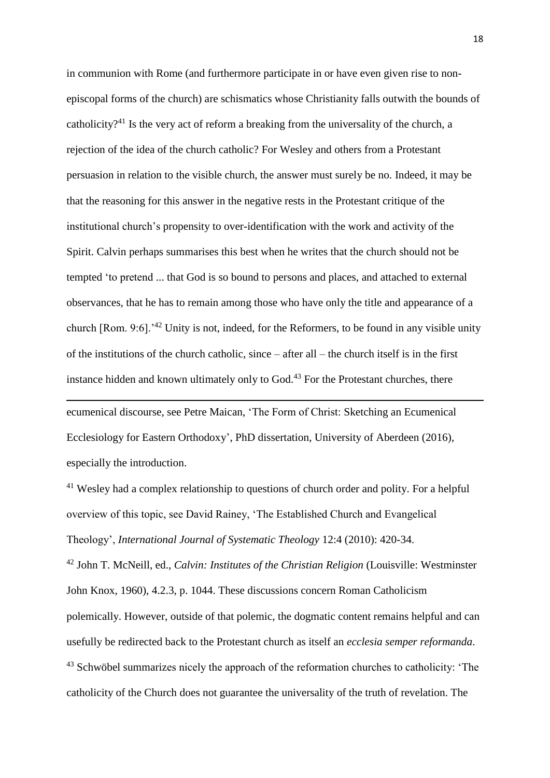in communion with Rome (and furthermore participate in or have even given rise to nonepiscopal forms of the church) are schismatics whose Christianity falls outwith the bounds of catholicity?<sup>41</sup> Is the very act of reform a breaking from the universality of the church, a rejection of the idea of the church catholic? For Wesley and others from a Protestant persuasion in relation to the visible church, the answer must surely be no. Indeed, it may be that the reasoning for this answer in the negative rests in the Protestant critique of the institutional church's propensity to over-identification with the work and activity of the Spirit. Calvin perhaps summarises this best when he writes that the church should not be tempted 'to pretend ... that God is so bound to persons and places, and attached to external observances, that he has to remain among those who have only the title and appearance of a church [Rom. 9:6].'<sup>42</sup> Unity is not, indeed, for the Reformers, to be found in any visible unity of the institutions of the church catholic, since – after all – the church itself is in the first instance hidden and known ultimately only to God. $43$  For the Protestant churches, there

ecumenical discourse, see Petre Maican, 'The Form of Christ: Sketching an Ecumenical Ecclesiology for Eastern Orthodoxy', PhD dissertation, University of Aberdeen (2016), especially the introduction.

**.** 

<sup>41</sup> Wesley had a complex relationship to questions of church order and polity. For a helpful overview of this topic, see David Rainey, 'The Established Church and Evangelical Theology', *International Journal of Systematic Theology* 12:4 (2010): 420-34.

<sup>42</sup> John T. McNeill, ed., *Calvin: Institutes of the Christian Religion* (Louisville: Westminster John Knox, 1960), 4.2.3, p. 1044. These discussions concern Roman Catholicism polemically. However, outside of that polemic, the dogmatic content remains helpful and can usefully be redirected back to the Protestant church as itself an *ecclesia semper reformanda*. <sup>43</sup> Schwöbel summarizes nicely the approach of the reformation churches to catholicity: 'The catholicity of the Church does not guarantee the universality of the truth of revelation. The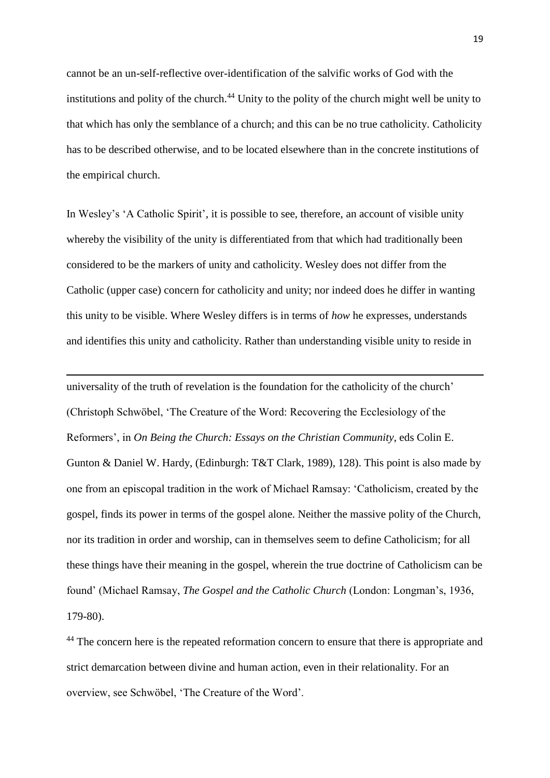cannot be an un-self-reflective over-identification of the salvific works of God with the institutions and polity of the church.<sup>44</sup> Unity to the polity of the church might well be unity to that which has only the semblance of a church; and this can be no true catholicity. Catholicity has to be described otherwise, and to be located elsewhere than in the concrete institutions of the empirical church.

In Wesley's 'A Catholic Spirit', it is possible to see, therefore, an account of visible unity whereby the visibility of the unity is differentiated from that which had traditionally been considered to be the markers of unity and catholicity. Wesley does not differ from the Catholic (upper case) concern for catholicity and unity; nor indeed does he differ in wanting this unity to be visible. Where Wesley differs is in terms of *how* he expresses, understands and identifies this unity and catholicity. Rather than understanding visible unity to reside in

1

universality of the truth of revelation is the foundation for the catholicity of the church' (Christoph Schwöbel, 'The Creature of the Word: Recovering the Ecclesiology of the Reformers', in *On Being the Church: Essays on the Christian Community*, eds Colin E. Gunton & Daniel W. Hardy, (Edinburgh: T&T Clark, 1989), 128). This point is also made by one from an episcopal tradition in the work of Michael Ramsay: 'Catholicism, created by the gospel, finds its power in terms of the gospel alone. Neither the massive polity of the Church, nor its tradition in order and worship, can in themselves seem to define Catholicism; for all these things have their meaning in the gospel, wherein the true doctrine of Catholicism can be found' (Michael Ramsay, *The Gospel and the Catholic Church* (London: Longman's, 1936, 179-80).

<sup>44</sup> The concern here is the repeated reformation concern to ensure that there is appropriate and strict demarcation between divine and human action, even in their relationality. For an overview, see Schwöbel, 'The Creature of the Word'.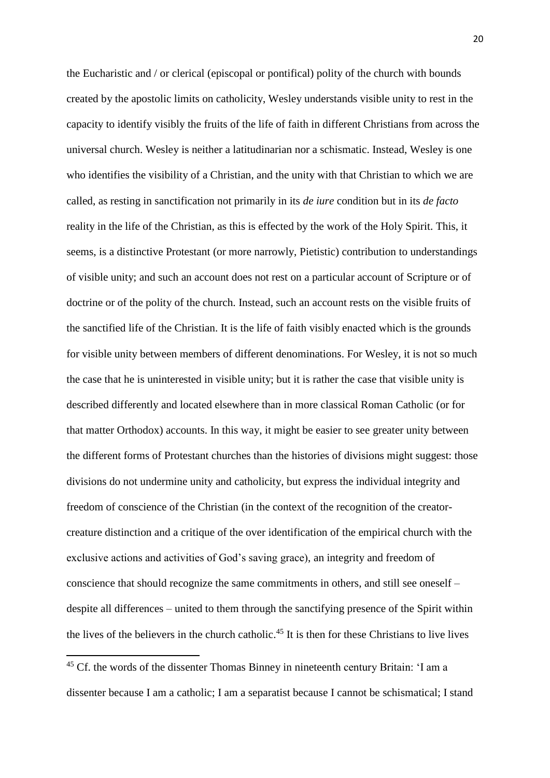the Eucharistic and / or clerical (episcopal or pontifical) polity of the church with bounds created by the apostolic limits on catholicity, Wesley understands visible unity to rest in the capacity to identify visibly the fruits of the life of faith in different Christians from across the universal church. Wesley is neither a latitudinarian nor a schismatic. Instead, Wesley is one who identifies the visibility of a Christian, and the unity with that Christian to which we are called, as resting in sanctification not primarily in its *de iure* condition but in its *de facto* reality in the life of the Christian, as this is effected by the work of the Holy Spirit. This, it seems, is a distinctive Protestant (or more narrowly, Pietistic) contribution to understandings of visible unity; and such an account does not rest on a particular account of Scripture or of doctrine or of the polity of the church. Instead, such an account rests on the visible fruits of the sanctified life of the Christian. It is the life of faith visibly enacted which is the grounds for visible unity between members of different denominations. For Wesley, it is not so much the case that he is uninterested in visible unity; but it is rather the case that visible unity is described differently and located elsewhere than in more classical Roman Catholic (or for that matter Orthodox) accounts. In this way, it might be easier to see greater unity between the different forms of Protestant churches than the histories of divisions might suggest: those divisions do not undermine unity and catholicity, but express the individual integrity and freedom of conscience of the Christian (in the context of the recognition of the creatorcreature distinction and a critique of the over identification of the empirical church with the exclusive actions and activities of God's saving grace), an integrity and freedom of conscience that should recognize the same commitments in others, and still see oneself – despite all differences – united to them through the sanctifying presence of the Spirit within the lives of the believers in the church catholic. <sup>45</sup> It is then for these Christians to live lives

<sup>&</sup>lt;sup>45</sup> Cf. the words of the dissenter Thomas Binney in nineteenth century Britain: 'I am a dissenter because I am a catholic; I am a separatist because I cannot be schismatical; I stand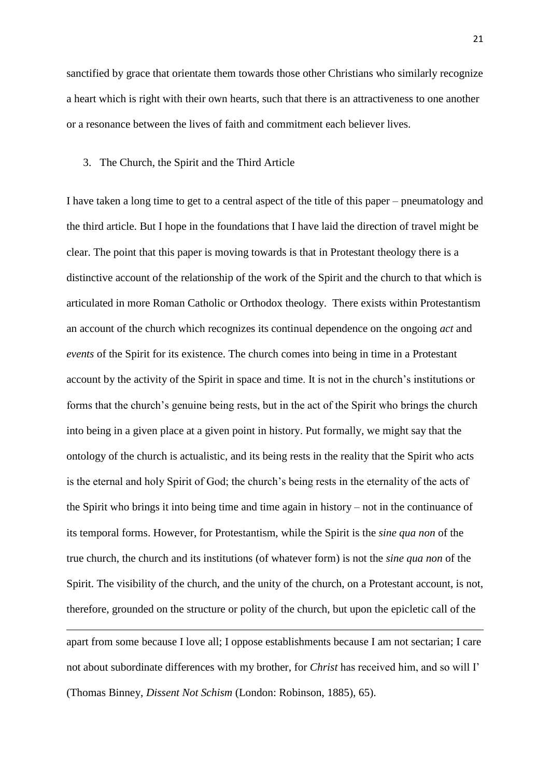sanctified by grace that orientate them towards those other Christians who similarly recognize a heart which is right with their own hearts, such that there is an attractiveness to one another or a resonance between the lives of faith and commitment each believer lives.

#### 3. The Church, the Spirit and the Third Article

I have taken a long time to get to a central aspect of the title of this paper – pneumatology and the third article. But I hope in the foundations that I have laid the direction of travel might be clear. The point that this paper is moving towards is that in Protestant theology there is a distinctive account of the relationship of the work of the Spirit and the church to that which is articulated in more Roman Catholic or Orthodox theology. There exists within Protestantism an account of the church which recognizes its continual dependence on the ongoing *act* and *events* of the Spirit for its existence. The church comes into being in time in a Protestant account by the activity of the Spirit in space and time. It is not in the church's institutions or forms that the church's genuine being rests, but in the act of the Spirit who brings the church into being in a given place at a given point in history. Put formally, we might say that the ontology of the church is actualistic, and its being rests in the reality that the Spirit who acts is the eternal and holy Spirit of God; the church's being rests in the eternality of the acts of the Spirit who brings it into being time and time again in history – not in the continuance of its temporal forms. However, for Protestantism, while the Spirit is the *sine qua non* of the true church, the church and its institutions (of whatever form) is not the *sine qua non* of the Spirit. The visibility of the church, and the unity of the church, on a Protestant account, is not, therefore, grounded on the structure or polity of the church, but upon the epicletic call of the

apart from some because I love all; I oppose establishments because I am not sectarian; I care not about subordinate differences with my brother, for *Christ* has received him, and so will I' (Thomas Binney, *Dissent Not Schism* (London: Robinson, 1885), 65).

**.**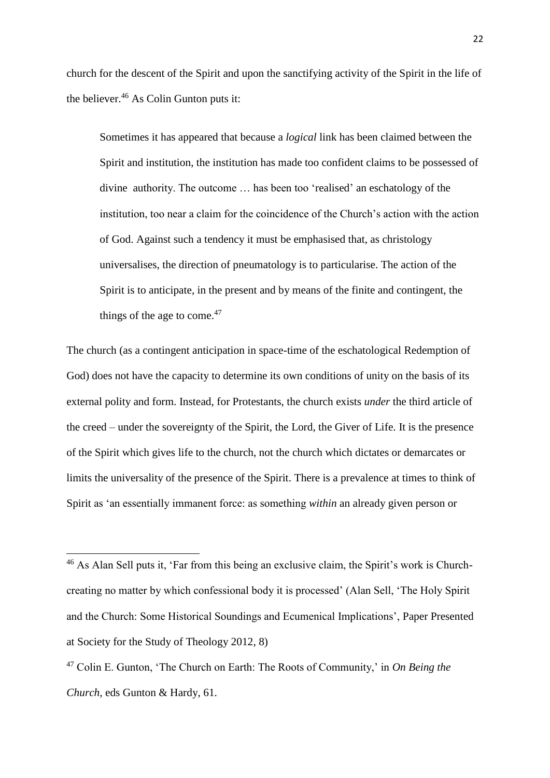church for the descent of the Spirit and upon the sanctifying activity of the Spirit in the life of the believer. $46$  As Colin Gunton puts it:

Sometimes it has appeared that because a *logical* link has been claimed between the Spirit and institution, the institution has made too confident claims to be possessed of divine authority. The outcome … has been too 'realised' an eschatology of the institution, too near a claim for the coincidence of the Church's action with the action of God. Against such a tendency it must be emphasised that, as christology universalises, the direction of pneumatology is to particularise. The action of the Spirit is to anticipate, in the present and by means of the finite and contingent, the things of the age to come. $47$ 

The church (as a contingent anticipation in space-time of the eschatological Redemption of God) does not have the capacity to determine its own conditions of unity on the basis of its external polity and form. Instead, for Protestants, the church exists *under* the third article of the creed – under the sovereignty of the Spirit, the Lord, the Giver of Life. It is the presence of the Spirit which gives life to the church, not the church which dictates or demarcates or limits the universality of the presence of the Spirit. There is a prevalence at times to think of Spirit as 'an essentially immanent force: as something *within* an already given person or

**.** 

<sup>&</sup>lt;sup>46</sup> As Alan Sell puts it, 'Far from this being an exclusive claim, the Spirit's work is Churchcreating no matter by which confessional body it is processed' (Alan Sell, 'The Holy Spirit and the Church: Some Historical Soundings and Ecumenical Implications', Paper Presented at Society for the Study of Theology 2012, 8)

<sup>47</sup> Colin E. Gunton, 'The Church on Earth: The Roots of Community,' in *On Being the Church*, eds Gunton & Hardy, 61.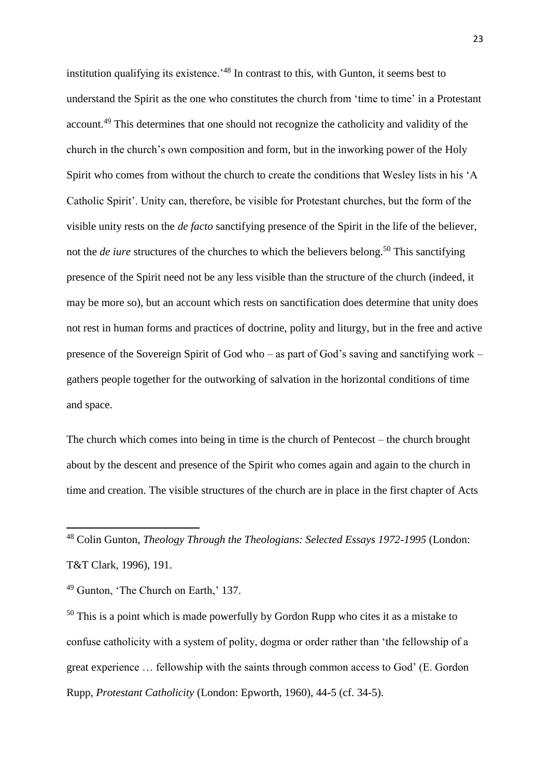institution qualifying its existence.<sup>'48</sup> In contrast to this, with Gunton, it seems best to understand the Spirit as the one who constitutes the church from 'time to time' in a Protestant account.<sup>49</sup> This determines that one should not recognize the catholicity and validity of the church in the church's own composition and form, but in the inworking power of the Holy Spirit who comes from without the church to create the conditions that Wesley lists in his 'A Catholic Spirit'. Unity can, therefore, be visible for Protestant churches, but the form of the visible unity rests on the *de facto* sanctifying presence of the Spirit in the life of the believer, not the *de iure* structures of the churches to which the believers belong. <sup>50</sup> This sanctifying presence of the Spirit need not be any less visible than the structure of the church (indeed, it may be more so), but an account which rests on sanctification does determine that unity does not rest in human forms and practices of doctrine, polity and liturgy, but in the free and active presence of the Sovereign Spirit of God who – as part of God's saving and sanctifying work – gathers people together for the outworking of salvation in the horizontal conditions of time and space.

The church which comes into being in time is the church of Pentecost – the church brought about by the descent and presence of the Spirit who comes again and again to the church in time and creation. The visible structures of the church are in place in the first chapter of Acts

<sup>48</sup> Colin Gunton, *Theology Through the Theologians: Selected Essays 1972-1995* (London: T&T Clark, 1996), 191.

<sup>49</sup> Gunton, 'The Church on Earth,' 137.

1

<sup>50</sup> This is a point which is made powerfully by Gordon Rupp who cites it as a mistake to confuse catholicity with a system of polity, dogma or order rather than 'the fellowship of a great experience … fellowship with the saints through common access to God' (E. Gordon Rupp, *Protestant Catholicity* (London: Epworth, 1960), 44-5 (cf. 34-5).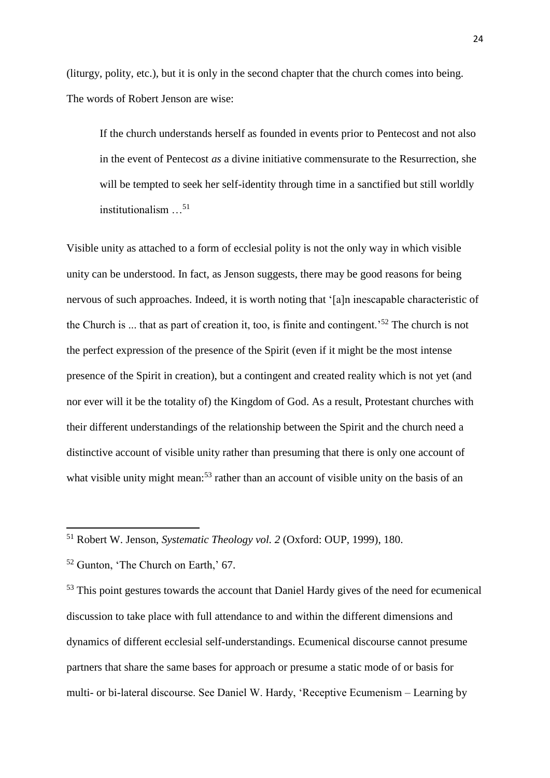(liturgy, polity, etc.), but it is only in the second chapter that the church comes into being. The words of Robert Jenson are wise:

If the church understands herself as founded in events prior to Pentecost and not also in the event of Pentecost *as* a divine initiative commensurate to the Resurrection, she will be tempted to seek her self-identity through time in a sanctified but still worldly institutionalism  $\ldots$ <sup>51</sup>

Visible unity as attached to a form of ecclesial polity is not the only way in which visible unity can be understood. In fact, as Jenson suggests, there may be good reasons for being nervous of such approaches. Indeed, it is worth noting that '[a]n inescapable characteristic of the Church is ... that as part of creation it, too, is finite and contingent.'<sup>52</sup> The church is not the perfect expression of the presence of the Spirit (even if it might be the most intense presence of the Spirit in creation), but a contingent and created reality which is not yet (and nor ever will it be the totality of) the Kingdom of God. As a result, Protestant churches with their different understandings of the relationship between the Spirit and the church need a distinctive account of visible unity rather than presuming that there is only one account of what visible unity might mean:<sup>53</sup> rather than an account of visible unity on the basis of an

<sup>51</sup> Robert W. Jenson, *Systematic Theology vol. 2* (Oxford: OUP, 1999), 180.

<sup>52</sup> Gunton, 'The Church on Earth,' 67.

<sup>&</sup>lt;sup>53</sup> This point gestures towards the account that Daniel Hardy gives of the need for ecumenical discussion to take place with full attendance to and within the different dimensions and dynamics of different ecclesial self-understandings. Ecumenical discourse cannot presume partners that share the same bases for approach or presume a static mode of or basis for multi- or bi-lateral discourse. See Daniel W. Hardy, 'Receptive Ecumenism – Learning by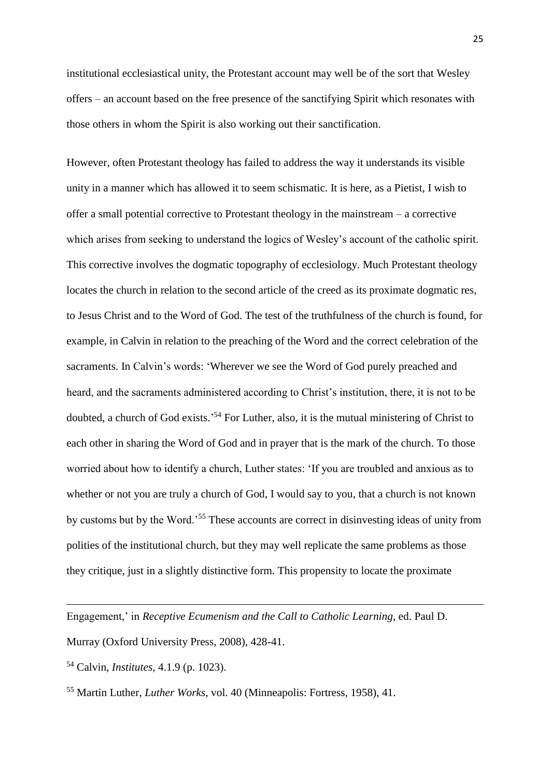institutional ecclesiastical unity, the Protestant account may well be of the sort that Wesley offers – an account based on the free presence of the sanctifying Spirit which resonates with those others in whom the Spirit is also working out their sanctification.

However, often Protestant theology has failed to address the way it understands its visible unity in a manner which has allowed it to seem schismatic. It is here, as a Pietist, I wish to offer a small potential corrective to Protestant theology in the mainstream – a corrective which arises from seeking to understand the logics of Wesley's account of the catholic spirit. This corrective involves the dogmatic topography of ecclesiology. Much Protestant theology locates the church in relation to the second article of the creed as its proximate dogmatic res, to Jesus Christ and to the Word of God. The test of the truthfulness of the church is found, for example, in Calvin in relation to the preaching of the Word and the correct celebration of the sacraments. In Calvin's words: 'Wherever we see the Word of God purely preached and heard, and the sacraments administered according to Christ's institution, there, it is not to be doubted, a church of God exists.<sup>54</sup> For Luther, also, it is the mutual ministering of Christ to each other in sharing the Word of God and in prayer that is the mark of the church. To those worried about how to identify a church, Luther states: 'If you are troubled and anxious as to whether or not you are truly a church of God, I would say to you, that a church is not known by customs but by the Word.'<sup>55</sup> These accounts are correct in disinvesting ideas of unity from polities of the institutional church, but they may well replicate the same problems as those they critique, just in a slightly distinctive form. This propensity to locate the proximate

Engagement,' in *Receptive Ecumenism and the Call to Catholic Learning*, ed. Paul D.

Murray (Oxford University Press, 2008), 428-41.

<sup>54</sup> Calvin, *Institutes*, 4.1.9 (p. 1023).

<sup>55</sup> Martin Luther, *Luther Works*, vol. 40 (Minneapolis: Fortress, 1958), 41.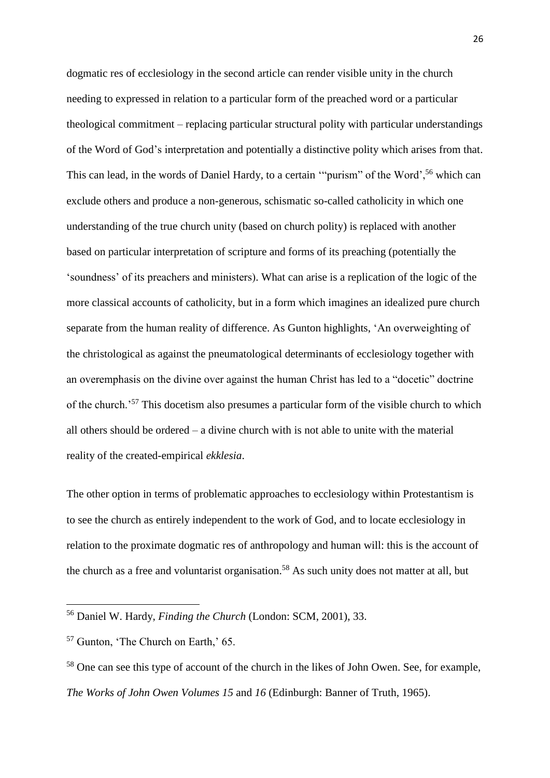dogmatic res of ecclesiology in the second article can render visible unity in the church needing to expressed in relation to a particular form of the preached word or a particular theological commitment – replacing particular structural polity with particular understandings of the Word of God's interpretation and potentially a distinctive polity which arises from that. This can lead, in the words of Daniel Hardy, to a certain ""purism" of the Word',<sup>56</sup> which can exclude others and produce a non-generous, schismatic so-called catholicity in which one understanding of the true church unity (based on church polity) is replaced with another based on particular interpretation of scripture and forms of its preaching (potentially the 'soundness' of its preachers and ministers). What can arise is a replication of the logic of the more classical accounts of catholicity, but in a form which imagines an idealized pure church separate from the human reality of difference. As Gunton highlights, 'An overweighting of the christological as against the pneumatological determinants of ecclesiology together with an overemphasis on the divine over against the human Christ has led to a "docetic" doctrine of the church.'<sup>57</sup> This docetism also presumes a particular form of the visible church to which all others should be ordered – a divine church with is not able to unite with the material reality of the created-empirical *ekklesia*.

The other option in terms of problematic approaches to ecclesiology within Protestantism is to see the church as entirely independent to the work of God, and to locate ecclesiology in relation to the proximate dogmatic res of anthropology and human will: this is the account of the church as a free and voluntarist organisation.<sup>58</sup> As such unity does not matter at all, but

<sup>56</sup> Daniel W. Hardy, *Finding the Church* (London: SCM, 2001), 33.

<sup>57</sup> Gunton, 'The Church on Earth,' 65.

<sup>&</sup>lt;sup>58</sup> One can see this type of account of the church in the likes of John Owen. See, for example, *The Works of John Owen Volumes 15* and *16* (Edinburgh: Banner of Truth, 1965).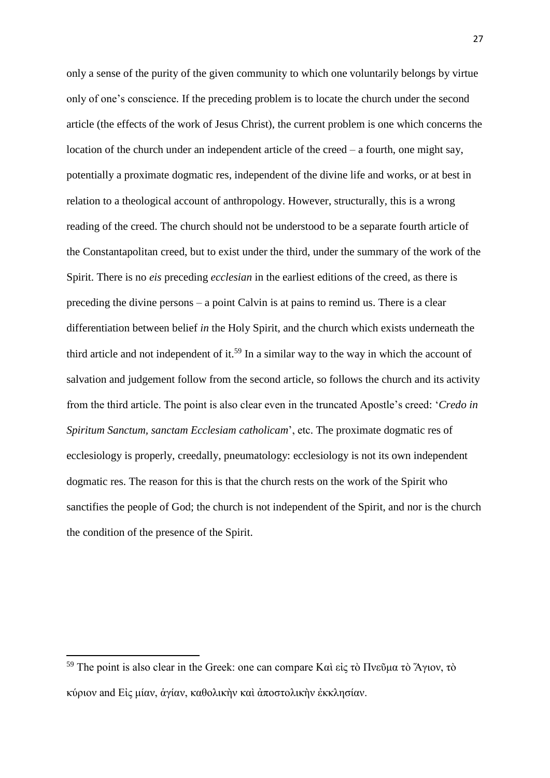only a sense of the purity of the given community to which one voluntarily belongs by virtue only of one's conscience. If the preceding problem is to locate the church under the second article (the effects of the work of Jesus Christ), the current problem is one which concerns the location of the church under an independent article of the creed – a fourth, one might say, potentially a proximate dogmatic res, independent of the divine life and works, or at best in relation to a theological account of anthropology. However, structurally, this is a wrong reading of the creed. The church should not be understood to be a separate fourth article of the Constantapolitan creed, but to exist under the third, under the summary of the work of the Spirit. There is no *eis* preceding *ecclesian* in the earliest editions of the creed, as there is preceding the divine persons – a point Calvin is at pains to remind us. There is a clear differentiation between belief *in* the Holy Spirit, and the church which exists underneath the third article and not independent of it.<sup>59</sup> In a similar way to the way in which the account of salvation and judgement follow from the second article, so follows the church and its activity from the third article. The point is also clear even in the truncated Apostle's creed: '*Credo in Spiritum Sanctum, sanctam Ecclesiam catholicam*', etc. The proximate dogmatic res of ecclesiology is properly, creedally, pneumatology: ecclesiology is not its own independent dogmatic res. The reason for this is that the church rests on the work of the Spirit who sanctifies the people of God; the church is not independent of the Spirit, and nor is the church the condition of the presence of the Spirit.

<sup>&</sup>lt;sup>59</sup> The point is also clear in the Greek: one can compare Καὶ εἰς τὸ Πνεῦμα τὸ Άγιον, τὸ κύριον and Εἰς μίαν, ἁγίαν, καθολικὴν καὶ ἀποστολικὴν ἐκκλησίαν.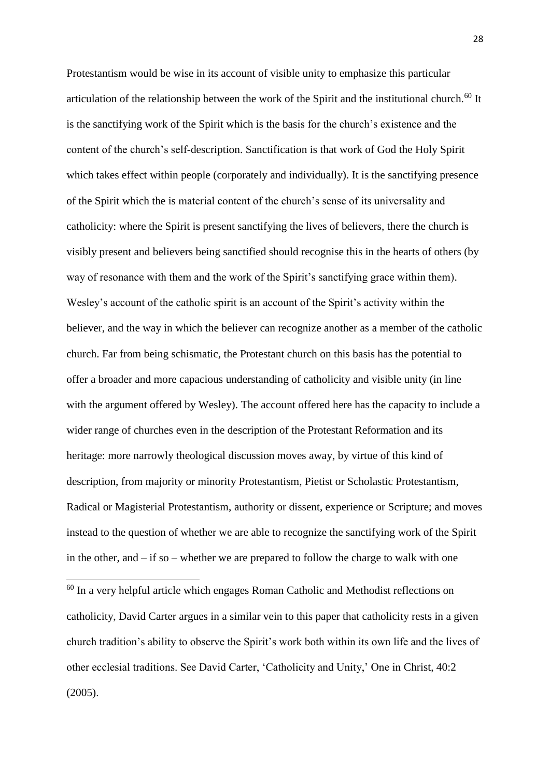Protestantism would be wise in its account of visible unity to emphasize this particular articulation of the relationship between the work of the Spirit and the institutional church.<sup>60</sup> It is the sanctifying work of the Spirit which is the basis for the church's existence and the content of the church's self-description. Sanctification is that work of God the Holy Spirit which takes effect within people (corporately and individually). It is the sanctifying presence of the Spirit which the is material content of the church's sense of its universality and catholicity: where the Spirit is present sanctifying the lives of believers, there the church is visibly present and believers being sanctified should recognise this in the hearts of others (by way of resonance with them and the work of the Spirit's sanctifying grace within them). Wesley's account of the catholic spirit is an account of the Spirit's activity within the believer, and the way in which the believer can recognize another as a member of the catholic church. Far from being schismatic, the Protestant church on this basis has the potential to offer a broader and more capacious understanding of catholicity and visible unity (in line with the argument offered by Wesley). The account offered here has the capacity to include a wider range of churches even in the description of the Protestant Reformation and its heritage: more narrowly theological discussion moves away, by virtue of this kind of description, from majority or minority Protestantism, Pietist or Scholastic Protestantism, Radical or Magisterial Protestantism, authority or dissent, experience or Scripture; and moves instead to the question of whether we are able to recognize the sanctifying work of the Spirit in the other, and  $-$  if so  $-$  whether we are prepared to follow the charge to walk with one

<sup>60</sup> In a very helpful article which engages Roman Catholic and Methodist reflections on catholicity, David Carter argues in a similar vein to this paper that catholicity rests in a given church tradition's ability to observe the Spirit's work both within its own life and the lives of other ecclesial traditions. See David Carter, 'Catholicity and Unity,' One in Christ, 40:2 (2005).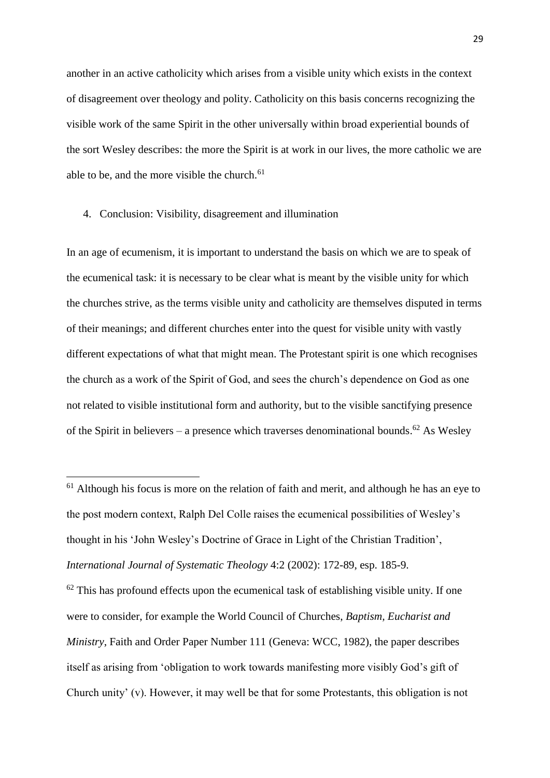another in an active catholicity which arises from a visible unity which exists in the context of disagreement over theology and polity. Catholicity on this basis concerns recognizing the visible work of the same Spirit in the other universally within broad experiential bounds of the sort Wesley describes: the more the Spirit is at work in our lives, the more catholic we are able to be, and the more visible the church.<sup>61</sup>

## 4. Conclusion: Visibility, disagreement and illumination

**.** 

In an age of ecumenism, it is important to understand the basis on which we are to speak of the ecumenical task: it is necessary to be clear what is meant by the visible unity for which the churches strive, as the terms visible unity and catholicity are themselves disputed in terms of their meanings; and different churches enter into the quest for visible unity with vastly different expectations of what that might mean. The Protestant spirit is one which recognises the church as a work of the Spirit of God, and sees the church's dependence on God as one not related to visible institutional form and authority, but to the visible sanctifying presence of the Spirit in believers – a presence which traverses denominational bounds.<sup>62</sup> As Wesley

 $62$  This has profound effects upon the ecumenical task of establishing visible unity. If one were to consider, for example the World Council of Churches, *Baptism, Eucharist and Ministry*, Faith and Order Paper Number 111 (Geneva: WCC, 1982), the paper describes itself as arising from 'obligation to work towards manifesting more visibly God's gift of Church unity' (v). However, it may well be that for some Protestants, this obligation is not

 $61$  Although his focus is more on the relation of faith and merit, and although he has an eye to the post modern context, Ralph Del Colle raises the ecumenical possibilities of Wesley's thought in his 'John Wesley's Doctrine of Grace in Light of the Christian Tradition', *International Journal of Systematic Theology* 4:2 (2002): 172-89, esp. 185-9.